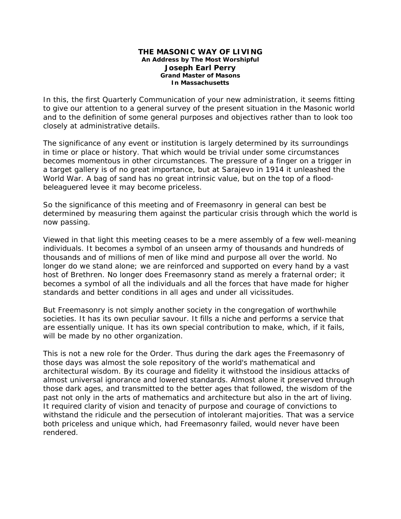## **THE MASONIC WAY OF LIVING An Address by The Most Worshipful Joseph Earl Perry Grand Master of Masons In Massachusetts**

In this, the first Quarterly Communication of your new administration, it seems fitting to give our attention to a general survey of the present situation in the Masonic world and to the definition of some general purposes and objectives rather than to look too closely at administrative details.

The significance of any event or institution is largely determined by its surroundings in time or place or history. That which would be trivial under some circumstances becomes momentous in other circumstances. The pressure of a finger on a trigger in a target gallery is of no great importance, but at Sarajevo in 1914 it unleashed the World War. A bag of sand has no great intrinsic value, but on the top of a floodbeleaguered levee it may become priceless.

So the significance of this meeting and of Freemasonry in general can best be determined by measuring them against the particular crisis through which the world is now passing.

Viewed in that light this meeting ceases to be a mere assembly of a few well-meaning individuals. It becomes a symbol of an unseen army of thousands and hundreds of thousands and of millions of men of like mind and purpose all over the world. No longer do we stand alone; we are reinforced and supported on every hand by a vast host of Brethren. No longer does Freemasonry stand as merely a fraternal order; it becomes a symbol of all the individuals and all the forces that have made for higher standards and better conditions in all ages and under all vicissitudes.

But Freemasonry is not simply another society in the congregation of worthwhile societies. It has its own peculiar savour. It fills a niche and performs a service that are essentially unique. It has its own special contribution to make, which, if it fails, will be made by no other organization.

This is not a new role for the Order. Thus during the dark ages the Freemasonry of those days was almost the sole repository of the world's mathematical and architectural wisdom. By its courage and fidelity it withstood the insidious attacks of almost universal ignorance and lowered standards. Almost alone it preserved through those dark ages, and transmitted to the better ages that followed, the wisdom of the past not only in the arts of mathematics and architecture but also in the art of living. It required clarity of vision and tenacity of purpose and courage of convictions to withstand the ridicule and the persecution of intolerant majorities. That was a service both priceless and unique which, had Freemasonry failed, would never have been rendered.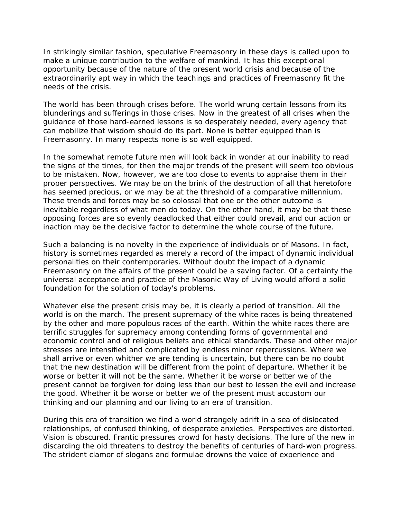In strikingly similar fashion, speculative Freemasonry in these days is called upon to make a unique contribution to the welfare of mankind. It has this exceptional opportunity because of the nature of the present world crisis and because of the extraordinarily apt way in which the teachings and practices of Freemasonry fit the needs of the crisis.

The world has been through crises before. The world wrung certain lessons from its blunderings and sufferings in those crises. Now in the greatest of all crises when the guidance of those hard-earned lessons is so desperately needed, every agency that can mobilize that wisdom should do its part. None is better equipped than is Freemasonry. In many respects none is so well equipped.

In the somewhat remote future men will look back in wonder at our inability to read the signs of the times, for then the major trends of the present will seem too obvious to be mistaken. Now, however, we are too close to events to appraise them in their proper perspectives. We may be on the brink of the destruction of all that heretofore has seemed precious, or we may be at the threshold of a comparative millennium. These trends and forces may be so colossal that one or the other outcome is inevitable regardless of what men do today. On the other hand, it may be that these opposing forces are so evenly deadlocked that either could prevail, and our action or inaction may be the decisive factor to determine the whole course of the future.

Such a balancing is no novelty in the experience of individuals or of Masons. In fact, history is sometimes regarded as merely a record of the impact of dynamic individual personalities on their contemporaries. Without doubt the impact of a dynamic Freemasonry on the affairs of the present could be a saving factor. Of a certainty the universal acceptance and practice of the Masonic Way of Living would afford a solid foundation for the solution of today's problems.

Whatever else the present crisis may be, it is clearly a period of transition. All the world is on the march. The present supremacy of the white races is being threatened by the other and more populous races of the earth. Within the white races there are terrific struggles for supremacy among contending forms of governmental and economic control and of religious beliefs and ethical standards. These and other major stresses are intensified and complicated by endless minor repercussions. Where we shall arrive or even whither we are tending is uncertain, but there can be no doubt that the new destination will be different from the point of departure. Whether it be worse or better it will not be the same. Whether it be worse or better we of the present cannot be forgiven for doing less than our best to lessen the evil and increase the good. Whether it be worse or better we of the present must accustom our thinking and our planning and our living to an era of transition.

During this era of transition we find a world strangely adrift in a sea of dislocated relationships, of confused thinking, of desperate anxieties. Perspectives are distorted. Vision is obscured. Frantic pressures crowd for hasty decisions. The lure of the new in discarding the old threatens to destroy the benefits of centuries of hard-won progress. The strident clamor of slogans and formulae drowns the voice of experience and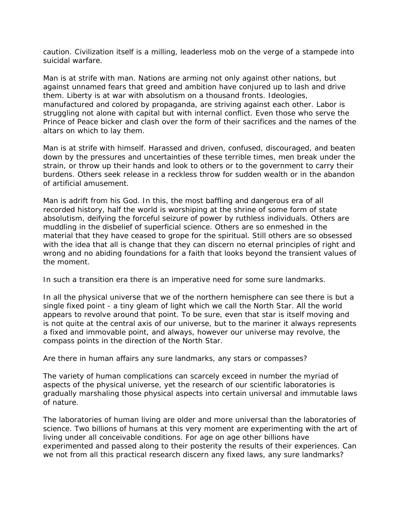caution. Civilization itself is a milling, leaderless mob on the verge of a stampede into suicidal warfare.

Man is at strife with man. Nations are arming not only against other nations, but against unnamed fears that greed and ambition have conjured up to lash and drive them. Liberty is at war with absolutism on a thousand fronts. Ideologies, manufactured and colored by propaganda, are striving against each other. Labor is struggling not alone with capital but with internal conflict. Even those who serve the Prince of Peace bicker and clash over the form of their sacrifices and the names of the altars on which to lay them.

Man is at strife with himself. Harassed and driven, confused, discouraged, and beaten down by the pressures and uncertainties of these terrible times, men break under the strain, or throw up their hands and look to others or to the government to carry their burdens. Others seek release in a reckless throw for sudden wealth or in the abandon of artificial amusement.

Man is adrift from his God. In this, the most baffling and dangerous era of all recorded history, half the world is worshiping at the shrine of some form of state absolutism, deifying the forceful seizure of power by ruthless individuals. Others are muddling in the disbelief of superficial science. Others are so enmeshed in the material that they have ceased to grope for the spiritual. Still others are so obsessed with the idea that all is change that they can discern no eternal principles of right and wrong and no abiding foundations for a faith that looks beyond the transient values of the moment.

In such a transition era there is an imperative need for some sure landmarks.

In all the physical universe that we of the northern hemisphere can see there is but a single fixed point - a tiny gleam of light which we call the North Star. All the world appears to revolve around that point. To be sure, even that star is itself moving and is not quite at the central axis of our universe, but to the mariner it always represents a fixed and immovable point, and always, however our universe may revolve, the compass points in the direction of the North Star.

Are there in human affairs any sure landmarks, any stars or compasses?

The variety of human complications can scarcely exceed in number the myriad of aspects of the physical universe, yet the research of our scientific laboratories is gradually marshaling those physical aspects into certain universal and immutable laws of nature.

The laboratories of human living are older and more universal than the laboratories of science. Two billions of humans at this very moment are experimenting with the art of living under all conceivable conditions. For age on age other billions have experimented and passed along to their posterity the results of their experiences. Can we not from all this practical research discern any fixed laws, any sure landmarks?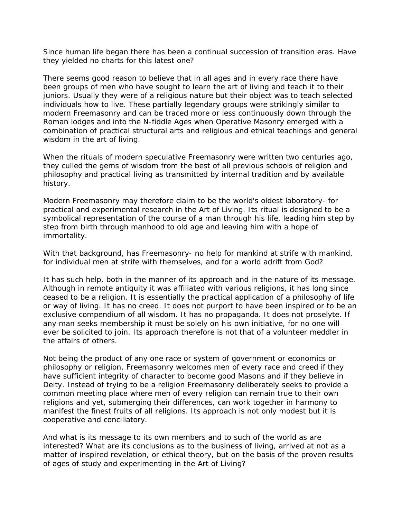Since human life began there has been a continual succession of transition eras. Have they yielded no charts for this latest one?

There seems good reason to believe that in all ages and in every race there have been groups of men who have sought to learn the art of living and teach it to their juniors. Usually they were of a religious nature but their object was to teach selected individuals how to live. These partially legendary groups were strikingly similar to modern Freemasonry and can be traced more or less continuously down through the Roman lodges and into the N-fiddle Ages when Operative Masonry emerged with a combination of practical structural arts and religious and ethical teachings and general wisdom in the art of living.

When the rituals of modern speculative Freemasonry were written two centuries ago, they culled the gems of wisdom from the best of all previous schools of religion and philosophy and practical living as transmitted by internal tradition and by available history.

Modern Freemasonry may therefore claim to be the world's oldest laboratory- for practical and experimental research in the Art of Living. Its ritual is designed to be a symbolical representation of the course of a man through his life, leading him step by step from birth through manhood to old age and leaving him with a hope of immortality.

With that background, has Freemasonry- no help for mankind at strife with mankind, for individual men at strife with themselves, and for a world adrift from God?

It has such help, both in the manner of its approach and in the nature of its message. Although in remote antiquity it was affiliated with various religions, it has long since ceased to be a religion. It is essentially the practical application of a philosophy of life or way of living. It has no creed. It does not purport to have been inspired or to be an exclusive compendium of all wisdom. It has no propaganda. It does not proselyte. If any man seeks membership it must be solely on his own initiative, for no one will ever be solicited to join. Its approach therefore is not that of a volunteer meddler in the affairs of others.

Not being the product of any one race or system of government or economics or philosophy or religion, Freemasonry welcomes men of every race and creed if they have sufficient integrity of character to become good Masons and if they believe in Deity. Instead of trying to be a religion Freemasonry deliberately seeks to provide a common meeting place where men of every religion can remain true to their own religions and yet, submerging their differences, can work together in harmony to manifest the finest fruits of all religions. Its approach is not only modest but it is cooperative and conciliatory.

And what is its message to its own members and to such of the world as are interested? What are its conclusions as to the business of living, arrived at not as a matter of inspired revelation, or ethical theory, but on the basis of the proven results of ages of study and experimenting in the Art of Living?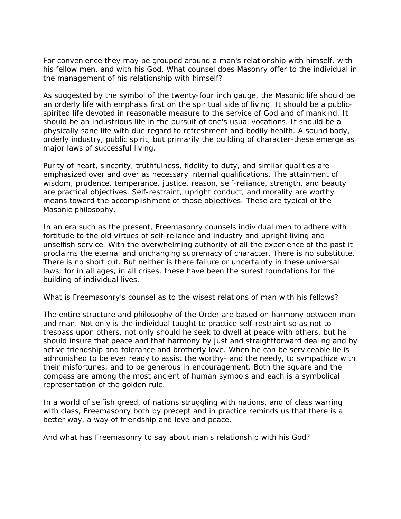For convenience they may be grouped around a man's relationship with himself, with his fellow men, and with his God. What counsel does Masonry offer to the individual in the management of his relationship with himself?

As suggested by the symbol of the twenty-four inch gauge, the Masonic life should be an orderly life with emphasis first on the spiritual side of living. It should be a publicspirited life devoted in reasonable measure to the service of God and of mankind. It should be an industrious life in the pursuit of one's usual vocations. It should be a physically sane life with due regard to refreshment and bodily health. A sound body, orderly industry, public spirit, but primarily the building of character-these emerge as major laws of successful living.

Purity of heart, sincerity, truthfulness, fidelity to duty, and similar qualities are emphasized over and over as necessary internal qualifications. The attainment of wisdom, prudence, temperance, justice, reason, self-reliance, strength, and beauty are practical objectives. Self-restraint, upright conduct, and morality are worthy means toward the accomplishment of those objectives. These are typical of the Masonic philosophy.

In an era such as the present, Freemasonry counsels individual men to adhere with fortitude to the old virtues of self-reliance and industry and upright living and unselfish service. With the overwhelming authority of all the experience of the past it proclaims the eternal and unchanging supremacy of character. There is no substitute. There is no short cut. But neither is there failure or uncertainty in these universal laws, for in all ages, in all crises, these have been the surest foundations for the building of individual lives.

What is Freemasonry's counsel as to the wisest relations of man with his fellows?

The entire structure and philosophy of the Order are based on harmony between man and man. Not only is the individual taught to practice self-restraint so as not to trespass upon others, not only should he seek to dwell at peace with others, but he should insure that peace and that harmony by just and straightforward dealing and by active friendship and tolerance and brotherly love. When he can be serviceable lie is admonished to be ever ready to assist the worthy- and the needy, to sympathize with their misfortunes, and to be generous in encouragement. Both the square and the compass are among the most ancient of human symbols and each is a symbolical representation of the golden rule.

In a world of selfish greed, of nations struggling with nations, and of class warring with class, Freemasonry both by precept and in practice reminds us that there is a better way, a way of friendship and love and peace.

And what has Freemasonry to say about man's relationship with his God?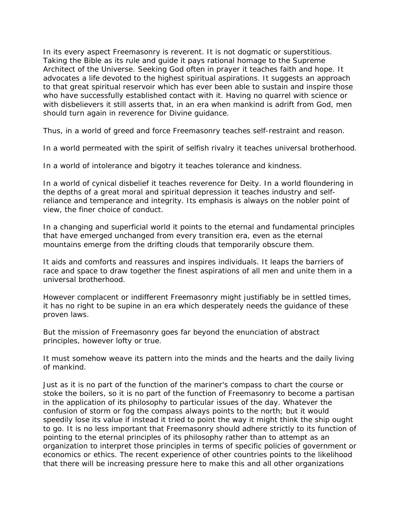In its every aspect Freemasonry is reverent. It is not dogmatic or superstitious. Taking the Bible as its rule and guide it pays rational homage to the Supreme Architect of the Universe. Seeking God often in prayer it teaches faith and hope. It advocates a life devoted to the highest spiritual aspirations. It suggests an approach to that great spiritual reservoir which has ever been able to sustain and inspire those who have successfully established contact with it. Having no quarrel with science or with disbelievers it still asserts that, in an era when mankind is adrift from God, men should turn again in reverence for Divine guidance.

Thus, in a world of greed and force Freemasonry teaches self-restraint and reason.

In a world permeated with the spirit of selfish rivalry it teaches universal brotherhood.

In a world of intolerance and bigotry it teaches tolerance and kindness.

In a world of cynical disbelief it teaches reverence for Deity. In a world floundering in the depths of a great moral and spiritual depression it teaches industry and selfreliance and temperance and integrity. Its emphasis is always on the nobler point of view, the finer choice of conduct.

In a changing and superficial world it points to the eternal and fundamental principles that have emerged unchanged from every transition era, even as the eternal mountains emerge from the drifting clouds that temporarily obscure them.

It aids and comforts and reassures and inspires individuals. It leaps the barriers of race and space to draw together the finest aspirations of all men and unite them in a universal brotherhood.

However complacent or indifferent Freemasonry might justifiably be in settled times, it has no right to be supine in an era which desperately needs the guidance of these proven laws.

But the mission of Freemasonry goes far beyond the enunciation of abstract principles, however lofty or true.

It must somehow weave its pattern into the minds and the hearts and the daily living of mankind.

Just as it is no part of the function of the mariner's compass to chart the course or stoke the boilers, so it is no part of the function of Freemasonry to become a partisan in the application of its philosophy to particular issues of the day. Whatever the confusion of storm or fog the compass always points to the north; but it would speedily lose its value if instead it tried to point the way it might think the ship ought to go. It is no less important that Freemasonry should adhere strictly to its function of pointing to the eternal principles of its philosophy rather than to attempt as an organization to interpret those principles in terms of specific policies of government or economics or ethics. The recent experience of other countries points to the likelihood that there will be increasing pressure here to make this and all other organizations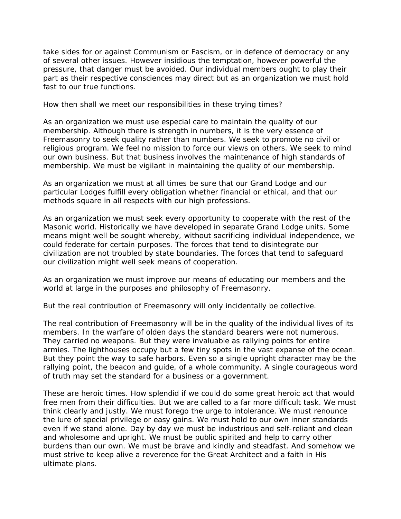take sides for or against Communism or Fascism, or in defence of democracy or any of several other issues. However insidious the temptation, however powerful the pressure, that danger must be avoided. Our individual members ought to play their part as their respective consciences may direct but as an organization we must hold fast to our true functions.

How then shall we meet our responsibilities in these trying times?

As an organization we must use especial care to maintain the quality of our membership. Although there is strength in numbers, it is the very essence of Freemasonry to seek quality rather than numbers. We seek to promote no civil or religious program. We feel no mission to force our views on others. We seek to mind our own business. But that business involves the maintenance of high standards of membership. We must be vigilant in maintaining the quality of our membership.

As an organization we must at all times be sure that our Grand Lodge and our particular Lodges fulfill every obligation whether financial or ethical, and that our methods square in all respects with our high professions.

As an organization we must seek every opportunity to cooperate with the rest of the Masonic world. Historically we have developed in separate Grand Lodge units. Some means might well be sought whereby, without sacrificing individual independence, we could federate for certain purposes. The forces that tend to disintegrate our civilization are not troubled by state boundaries. The forces that tend to safeguard our civilization might well seek means of cooperation.

As an organization we must improve our means of educating our members and the world at large in the purposes and philosophy of Freemasonry.

But the real contribution of Freemasonry will only incidentally be collective.

The real contribution of Freemasonry will be in the quality of the individual lives of its members. In the warfare of olden days the standard bearers were not numerous. They carried no weapons. But they were invaluable as rallying points for entire armies. The lighthouses occupy but a few tiny spots in the vast expanse of the ocean. But they point the way to safe harbors. Even so a single upright character may be the rallying point, the beacon and guide, of a whole community. A single courageous word of truth may set the standard for a business or a government.

These are heroic times. How splendid if we could do some great heroic act that would free men from their difficulties. But we are called to a far more difficult task. We must think clearly and justly. We must forego the urge to intolerance. We must renounce the lure of special privilege or easy gains. We must hold to our own inner standards even if we stand alone. Day by day we must be industrious and self-reliant and clean and wholesome and upright. We must be public spirited and help to carry other burdens than our own. We must be brave and kindly and steadfast. And somehow we must strive to keep alive a reverence for the Great Architect and a faith in His ultimate plans.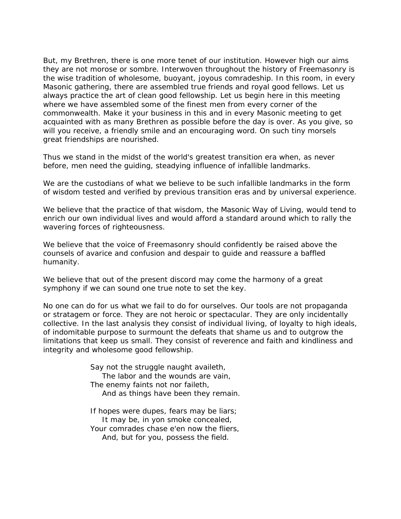But, my Brethren, there is one more tenet of our institution. However high our aims they are not morose or sombre. Interwoven throughout the history of Freemasonry is the wise tradition of wholesome, buoyant, joyous comradeship. In this room, in every Masonic gathering, there are assembled true friends and royal good fellows. Let us always practice the art of clean good fellowship. Let us begin here in this meeting where we have assembled some of the finest men from every corner of the commonwealth. Make it your business in this and in every Masonic meeting to get acquainted with as many Brethren as possible before the day is over. As you give, so will you receive, a friendly smile and an encouraging word. On such tiny morsels great friendships are nourished.

Thus we stand in the midst of the world's greatest transition era when, as never before, men need the guiding, steadying influence of infallible landmarks.

We are the custodians of what we believe to be such infallible landmarks in the form of wisdom tested and verified by previous transition eras and by universal experience.

We believe that the practice of that wisdom, the Masonic Way of Living, would tend to enrich our own individual lives and would afford a standard around which to rally the wavering forces of righteousness.

We believe that the voice of Freemasonry should confidently be raised above the counsels of avarice and confusion and despair to guide and reassure a baffled humanity.

We believe that out of the present discord may come the harmony of a great symphony if we can sound one true note to set the key.

No one can do for us what we fail to do for ourselves. Our tools are not propaganda or stratagem or force. They are not heroic or spectacular. They are only incidentally collective. In the last analysis they consist of individual living, of loyalty to high ideals, of indomitable purpose to surmount the defeats that shame us and to outgrow the limitations that keep us small. They consist of reverence and faith and kindliness and integrity and wholesome good fellowship.

> Say not the struggle naught availeth, The labor and the wounds are vain, The enemy faints not nor faileth, And as things have been they remain.

> If hopes were dupes, fears may be liars; It may be, in yon smoke concealed, Your comrades chase e'en now the fliers, And, but for you, possess the field.